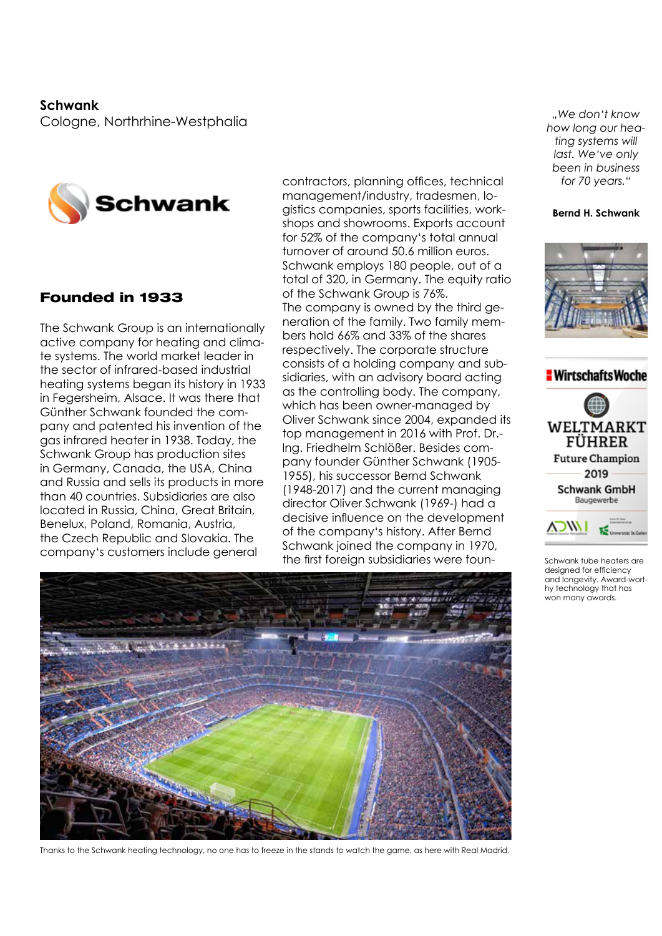**Schwank**  Cologne, Northrhine-Westphalia



# Founded in 1933

The Schwank Group is an internationally active company for heating and climate systems. The world market leader in the sector of infrared-based industrial heating systems began its history in 1933 in Fegersheim, Alsace. It was there that Günther Schwank founded the company and patented his invention of the gas infrared heater in 1938. Today, the Schwank Group has production sites in Germany, Canada, the USA, China and Russia and sells its products in more than 40 countries. Subsidiaries are also located in Russia, China, Great Britain, Benelux, Poland, Romania, Austria, the Czech Republic and Slovakia. The company's customers include general

contractors, planning offices, technical management/industry, tradesmen, logistics companies, sports facilities, workshops and showrooms. Exports account for 52% of the company's total annual turnover of around 50.6 million euros. Schwank employs 180 people, out of a total of 320, in Germany. The equity ratio of the Schwank Group is 76%. The company is owned by the third generation of the family. Two family members hold 66% and 33% of the shares respectively. The corporate structure consists of a holding company and subsidiaries, with an advisory board acting as the controlling body. The company, which has been owner-managed by Oliver Schwank since 2004, expanded its top management in 2016 with Prof. Dr. lng. Friedhelm Schlößer. Besides company founder Günther Schwank (1905- 1955), his successor Bernd Schwank (1948-2017) and the current managing director Oliver Schwank (1969-) had a decisive influence on the development of the company's history. After Bernd Schwank joined the company in 1970, the first foreign subsidiaries were foun-

*"We don't know how long our heating systems will last. We've only been in business for 70 years."*

#### **Bernd H. Schwank**





Schwank tube heaters are designed for efficiency and longevity. Award-worthy technology that has won many awards.



Thanks to the Schwank heating technology, no one has to freeze in the stands to watch the game, as here with Real Madrid.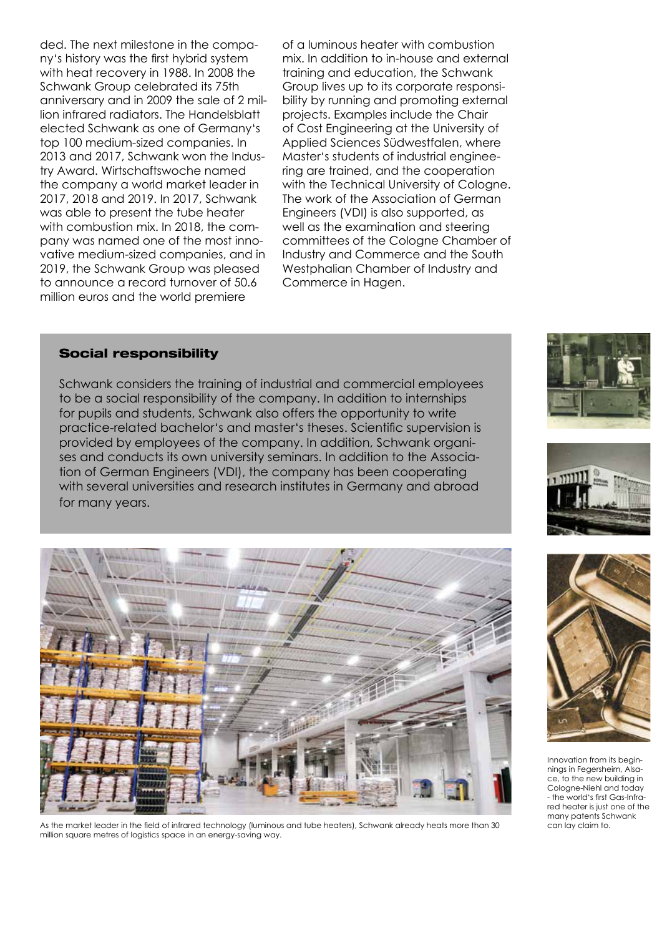ded. The next milestone in the company's history was the first hybrid system with heat recovery in 1988. In 2008 the Schwank Group celebrated its 75th anniversary and in 2009 the sale of 2 million infrared radiators. The Handelsblatt elected Schwank as one of Germany's top 100 medium-sized companies. In 2013 and 2017, Schwank won the Industry Award. Wirtschaftswoche named the company a world market leader in 2017, 2018 and 2019. In 2017, Schwank was able to present the tube heater with combustion mix. In 2018, the company was named one of the most innovative medium-sized companies, and in 2019, the Schwank Group was pleased to announce a record turnover of 50.6 million euros and the world premiere

of a luminous heater with combustion mix. In addition to in-house and external training and education, the Schwank Group lives up to its corporate responsibility by running and promoting external projects. Examples include the Chair of Cost Engineering at the University of Applied Sciences Südwestfalen, where Master's students of industrial engineering are trained, and the cooperation with the Technical University of Cologne. The work of the Association of German Engineers (VDI) is also supported, as well as the examination and steering committees of the Cologne Chamber of Industry and Commerce and the South Westphalian Chamber of Industry and Commerce in Hagen.

### Social responsibility

Schwank considers the training of industrial and commercial employees to be a social responsibility of the company. In addition to internships for pupils and students, Schwank also offers the opportunity to write practice-related bachelor's and master's theses. Scientific supervision is provided by employees of the company. In addition, Schwank organises and conducts its own university seminars. In addition to the Association of German Engineers (VDI), the company has been cooperating with several universities and research institutes in Germany and abroad for many years.



As the market leader in the field of infrared technology (luminous and tube heaters), Schwank already heats more than 30 million square metres of logistics space in an energy-saving way.







Innovation from its beginnings in Fegersheim, Alsace, to the new building in Cologne-Niehl and today - the world's first Gas-lnfrared heater is just one of the many patents Schwank can lay claim to.